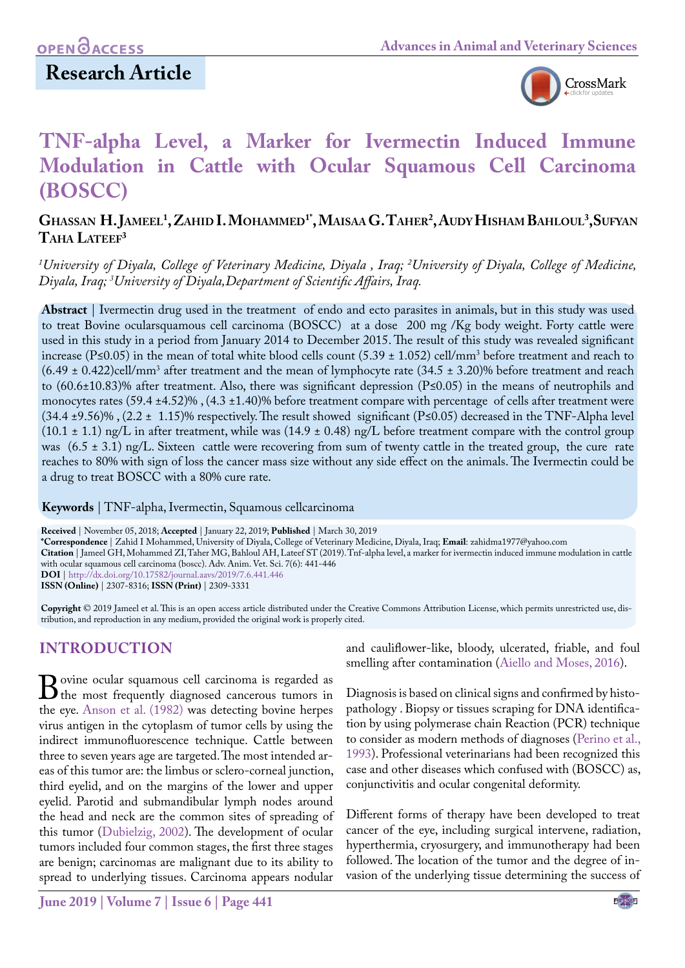## **Research Article**



# **TNF-alpha Level, a Marker for Ivermectin Induced Immune Modulation in Cattle with Ocular Squamous Cell Carcinoma (BOSCC)**

## **Ghassan H. Jameel1 , Zahid I. Mohammed1\*, Maisaa G. Taher2 , AudyHisham Bahloul3 ,Sufyan**  $T$ AHA LATEEF<sup>3</sup>

*1 University of Diyala, College of Veterinary Medicine, Diyala , Iraq; 2 University of Diyala, College of Medicine, Diyala, Iraq; 3 University of Diyala,Department of Scientific Affairs, Iraq.*

**Abstract** | Ivermectin drug used in the treatment of endo and ecto parasites in animals, but in this study was used to treat Bovine ocularsquamous cell carcinoma (BOSCC) at a dose 200 mg /Kg body weight. Forty cattle were used in this study in a period from January 2014 to December 2015. The result of this study was revealed significant increase (P≤0.05) in the mean of total white blood cells count (5.39 ± 1.052) cell/mm3 before treatment and reach to  $(6.49 \pm 0.422)$ cell/mm<sup>3</sup> after treatment and the mean of lymphocyte rate  $(34.5 \pm 3.20)\%$  before treatment and reach to (60.6±10.83)% after treatment. Also, there was significant depression (P≤0.05) in the means of neutrophils and monocytes rates (59.4 ±4.52)%, (4.3 ±1.40)% before treatment compare with percentage of cells after treatment were (34.4 ±9.56)% , (2.2 ± 1.15)% respectively. The result showed significant (P≤0.05) decreased in the TNF-Alpha level  $(10.1 \pm 1.1)$  ng/L in after treatment, while was  $(14.9 \pm 0.48)$  ng/L before treatment compare with the control group was  $(6.5 \pm 3.1)$  ng/L. Sixteen cattle were recovering from sum of twenty cattle in the treated group, the cure rate reaches to 80% with sign of loss the cancer mass size without any side effect on the animals. The Ivermectin could be a drug to treat BOSCC with a 80% cure rate.

**Keywords** | TNF-alpha, Ivermectin, Squamous cellcarcinoma

**Received** | November 05, 2018; **Accepted** | January 22, 2019; **Published** | March 30, 2019 **\*Correspondence** | Zahid I Mohammed, University of Diyala, College of Veterinary Medicine, Diyala, Iraq; **Email**: zahidma1977@yahoo.com **Citation** | Jameel GH, Mohammed ZI, Taher MG, Bahloul AH, Lateef ST (2019). Tnf-alpha level, a marker for ivermectin induced immune modulation in cattle with ocular squamous cell carcinoma (boscc). Adv. Anim. Vet. Sci. 7(6): 441-446 **DOI** | [http://dx.doi.org/10.17582/journal.aavs/201](http://dx.doi.org/10.17582/journal.aavs/2019/7.6.441.446)9/7.6.441.446 **ISSN (Online)** | 2307-8316; **ISSN (Print)** | 2309-3331

**Copyright** © 2019 Jameel et al. This is an open access article distributed under the Creative Commons Attribution License, which permits unrestricted use, distribution, and reproduction in any medium, provided the original work is properly cited.

## **INTRODUCTION**

**B**ovine ocular squamous cell carcinoma is regarded as<br>the most frequently diagnosed cancerous tumors in<br>the eve. Anson et al. (1982) was detecting bovine hernes the eye. Anson et al. (1982) was detecting bovine herpes virus antigen in the cytoplasm of tumor cells by using the indirect immunofluorescence technique. Cattle between three to seven years age are targeted. The most intended areas of this tumor are: the limbus or sclero-corneal junction, third eyelid, and on the margins of the lower and upper eyelid. Parotid and submandibular lymph nodes around the head and neck are the common sites of spreading of this tumor ([Dubielzig, 2002](#page-5-1)). The development of ocular tumors included four common stages, the first three stages are benign; carcinomas are malignant due to its ability to spread to underlying tissues. Carcinoma appears nodular

and cauliflower-like, bloody, ulcerated, friable, and foul smelling after contamination [\(Aiello and Moses, 2016\)](#page-5-2).

Diagnosis is based on clinical signs and confirmed by histopathology . Biopsy or tissues scraping for DNA identification by using polymerase chain Reaction (PCR) technique to consider as modern methods of diagnoses (Perino et al., 1993). Professional veterinarians had been recognized this case and other diseases which confused with (BOSCC) as, conjunctivitis and ocular congenital deformity.

Different forms of therapy have been developed to treat cancer of the eye, including surgical intervene, radiation, hyperthermia, cryosurgery, and immunotherapy had been followed. The location of the tumor and the degree of invasion of the underlying tissue determining the success of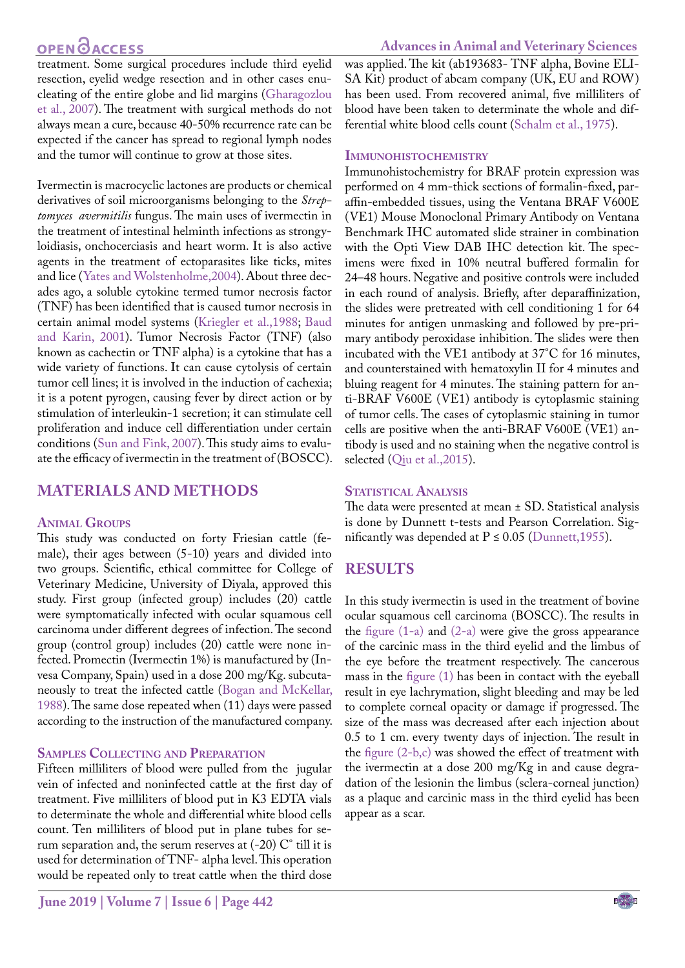## **OPEN OACCESS**

#### **Advances in Animal and Veterinary Sciences**

treatment. Some surgical procedures include third eyelid resection, eyelid wedge resection and in other cases enucleating of the entire globe and lid margins ([Gharagozlou](#page-5-3) [et al., 2007\)](#page-5-3). The treatment with surgical methods do not always mean a cure, because 40-50% recurrence rate can be expected if the cancer has spread to regional lymph nodes and the tumor will continue to grow at those sites.

Ivermectin is macrocyclic lactones are products or chemical derivatives of soil microorganisms belonging to the *Streptomyces avermitilis* fungus. The main uses of ivermectin in the treatment of intestinal helminth infections as strongyloidiasis, onchocerciasis and heart worm. It is also active agents in the treatment of ectoparasites like ticks, mites and lice ([Yates and Wolstenholme,2004\)](#page-5-4). About three decades ago, a soluble cytokine termed tumor necrosis factor (TNF) has been identified that is caused tumor necrosis in certain animal model systems (Kriegler et al.,1988; [Baud](#page-5-5) [and Karin, 2001\)](#page-5-5). Tumor Necrosis Factor (TNF) (also known as cachectin or TNF alpha) is a cytokine that has a wide variety of functions. It can cause cytolysis of certain tumor cell lines; it is involved in the induction of cachexia; it is a potent pyrogen, causing fever by direct action or by stimulation of interleukin-1 secretion; it can stimulate cell proliferation and induce cell differentiation under certain conditions ([Sun and Fink, 2007\)](#page-5-6). This study aims to evaluate the efficacy of ivermectin in the treatment of (BOSCC).

### **MATERIALS AND METHODS**

#### **Animal Groups**

This study was conducted on forty Friesian cattle (female), their ages between (5-10) years and divided into two groups. Scientific, ethical committee for College of Veterinary Medicine, University of Diyala, approved this study. First group (infected group) includes (20) cattle were symptomatically infected with ocular squamous cell carcinoma under different degrees of infection. The second group (control group) includes (20) cattle were none infected. Promectin (Ivermectin 1%) is manufactured by (Invesa Company, Spain) used in a dose 200 mg/Kg. subcutaneously to treat the infected cattle [\(Bogan and McKellar,](#page-5-7) [1988](#page-5-7)). The same dose repeated when (11) days were passed according to the instruction of the manufactured company.

#### **Samples Collecting and Preparation**

Fifteen milliliters of blood were pulled from the jugular vein of infected and noninfected cattle at the first day of treatment. Five milliliters of blood put in K3 EDTA vials to determinate the whole and differential white blood cells count. Ten milliliters of blood put in plane tubes for serum separation and, the serum reserves at  $(-20)$  C $^{\circ}$  till it is used for determination of TNF- alpha level. This operation would be repeated only to treat cattle when the third dose

was applied. The kit (ab193683- TNF alpha, Bovine ELI-SA Kit) product of abcam company (UK, EU and ROW) has been used. From recovered animal, five milliliters of blood have been taken to determinate the whole and differential white blood cells count (Schalm et al., 1975).

#### **Immunohistochemistry**

Immunohistochemistry for BRAF protein expression was performed on 4 mm-thick sections of formalin-fixed, paraffin-embedded tissues, using the Ventana BRAF V600E (VE1) Mouse Monoclonal Primary Antibody on Ventana Benchmark IHC automated slide strainer in combination with the Opti View DAB IHC detection kit. The specimens were fixed in 10% neutral buffered formalin for 24–48 hours. Negative and positive controls were included in each round of analysis. Briefly, after deparaffinization, the slides were pretreated with cell conditioning 1 for 64 minutes for antigen unmasking and followed by pre-primary antibody peroxidase inhibition. The slides were then incubated with the VE1 antibody at 37°C for 16 minutes, and counterstained with hematoxylin II for 4 minutes and bluing reagent for 4 minutes. The staining pattern for anti-BRAF V600E (VE1) antibody is cytoplasmic staining of tumor cells. The cases of cytoplasmic staining in tumor cells are positive when the anti-BRAF V600E (VE1) antibody is used and no staining when the negative control is selected ([Qiu et al.,2015](#page-5-8)).

### **Statistical Analysis**

The data were presented at mean ± SD. Statistical analysis is done by Dunnett t-tests and Pearson Correlation. Significantly was depended at  $P \le 0.05$  (Dunnett, 1955).

## **RESULTS**

In this study ivermectin is used in the treatment of bovine ocular squamous cell carcinoma (BOSCC). The results in the figure  $(1-a)$  and  $(2-a)$  were give the gross appearance of the carcinic mass in the third eyelid and the limbus of the eye before the treatment respectively. The cancerous mass in th[e figure \(1\)](#page-2-0) has been in contact with the eyeball result in eye lachrymation, slight bleeding and may be led to complete corneal opacity or damage if progressed. The size of the mass was decreased after each injection about 0.5 to 1 cm. every twenty days of injection. The result in the [figure \(2-b,c\)](#page-2-1) was showed the effect of treatment with the ivermectin at a dose 200 mg/Kg in and cause degradation of the lesionin the limbus (sclera-corneal junction) as a plaque and carcinic mass in the third eyelid has been appear as a scar.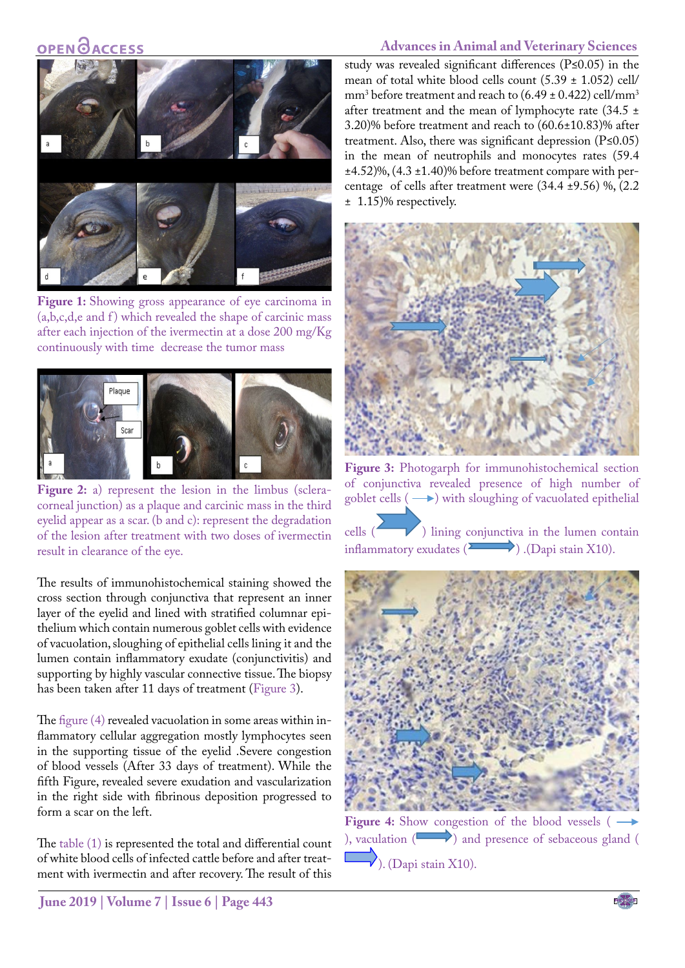## **OPEN OACCESS**

### **Advances in Animal and Veterinary Sciences**



Figure 1: Showing gross appearance of eye carcinoma in  $(a,b,c,d,e$  and  $f)$  which revealed the shape of carcinic mass after each injection of the ivermectin at a dose 200 mg/Kg continuously with time decrease the tumor mass

<span id="page-2-0"></span>

<span id="page-2-1"></span>Figure 2: a) represent the lesion in the limbus (scleracorneal junction) as a plaque and carcinic mass in the third eyelid appear as a scar. (b and c): represent the degradation of the lesion after treatment with two doses of ivermectin result in clearance of the eye.

The results of immunohistochemical staining showed the cross section through conjunctiva that represent an inner layer of the eyelid and lined with stratified columnar epithelium which contain numerous goblet cells with evidence of vacuolation, sloughing of epithelial cells lining it and the lumen contain inflammatory exudate (conjunctivitis) and supporting by highly vascular connective tissue. The biopsy has been taken after 11 days of treatment [\(Figure 3](#page-2-2)).

The [figure \(4\)](#page-2-3) revealed vacuolation in some areas within inflammatory cellular aggregation mostly lymphocytes seen in the supporting tissue of the eyelid .Severe congestion of blood vessels (After 33 days of treatment). While the fifth Figure, revealed severe exudation and vascularization in the right side with fibrinous deposition progressed to form a scar on the left.

The [table \(1\)](#page-3-0) is represented the total and differential count of white blood cells of infected cattle before and after treatment with ivermectin and after recovery. The result of this

study was revealed significant differences (P≤0.05) in the mean of total white blood cells count  $(5.39 \pm 1.052)$  cell/  $\text{mm}^3$  before treatment and reach to (6.49 ± 0.422) cell/mm<sup>3</sup> after treatment and the mean of lymphocyte rate (34.5  $\pm$ 3.20)% before treatment and reach to (60.6±10.83)% after treatment. Also, there was significant depression  $(P \le 0.05)$ in the mean of neutrophils and monocytes rates (59.4  $\pm$ 4.52)%, (4.3  $\pm$ 1.40)% before treatment compare with percentage of cells after treatment were  $(34.4 \pm 9.56)$  %,  $(2.2$ ± 1.15)% respectively.



**Figure 3:** Photogarph for immunohistochemical section of conjunctiva revealed presence of high number of goblet cells  $(\rightarrow)$  with sloughing of vacuolated epithelial

<span id="page-2-2"></span>cells ( ) lining conjunctiva in the lumen contain inflammatory exudates  $(\overrightarrow{Dap}$ . (Dapi stain X10).

<span id="page-2-3"></span>

**Figure 4:** Show congestion of the blood vessels ( ), vaculation  $($   $)$  and presence of sebaceous gland (  $\sqrt{ }$ ). (Dapi stain X10).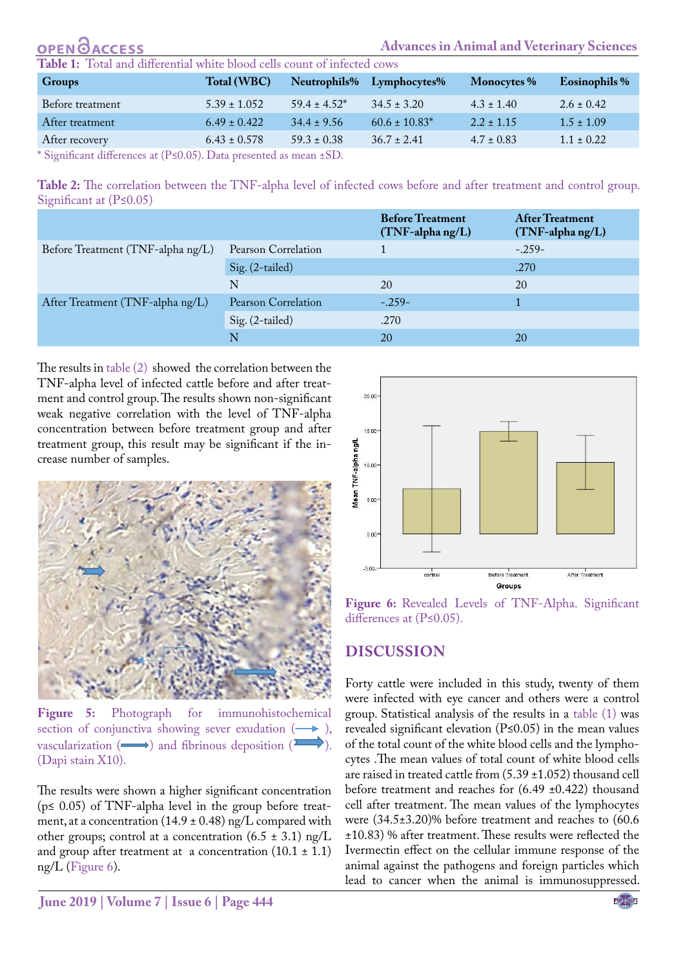<span id="page-3-0"></span>

| <b>OPEN GACCESS</b>                                                      |                  |                 |                           |                | <b>Advances in Animal and Veterinary Sciences</b> |  |
|--------------------------------------------------------------------------|------------------|-----------------|---------------------------|----------------|---------------------------------------------------|--|
| Table 1: Total and differential white blood cells count of infected cows |                  |                 |                           |                |                                                   |  |
| <b>Groups</b>                                                            | Total (WBC)      |                 | Neutrophils% Lymphocytes% | Monocytes %    | <b>Eosinophils %</b>                              |  |
| Before treatment                                                         | $5.39 \pm 1.052$ | $59.4 + 4.52^*$ | $34.5 \pm 3.20$           | $4.3 \pm 1.40$ | $2.6 \pm 0.42$                                    |  |
| After treatment                                                          | $6.49 \pm 0.422$ | $34.4 + 9.56$   | $60.6 \pm 10.83^*$        | $2.2 + 1.15$   | $1.5 \pm 1.09$                                    |  |
| After recovery                                                           | $6.43 \pm 0.578$ | $59.3 \pm 0.38$ | $36.7 + 2.41$             | $4.7 \pm 0.83$ | $1.1 \pm 0.22$                                    |  |

\* Significant differences at (P≤0.05). Data presented as mean ±SD.

<span id="page-3-1"></span>**Table 2:** The correlation between the TNF-alpha level of infected cows before and after treatment and control group. Significant at (P≤0.05)

|                                   |                     | <b>Before Treatment</b><br>(TNF-alpha ng/L) | <b>After Treatment</b><br>(TNF-alpha ng/L) |
|-----------------------------------|---------------------|---------------------------------------------|--------------------------------------------|
| Before Treatment (TNF-alpha ng/L) | Pearson Correlation |                                             | $-.259-$                                   |
|                                   | Sig. (2-tailed)     |                                             | .270                                       |
|                                   | N                   | 20                                          | 20                                         |
| After Treatment (TNF-alpha ng/L)  | Pearson Correlation | $-.259-$                                    |                                            |
|                                   | Sig. (2-tailed)     | .270                                        |                                            |
|                                   | N                   | 20                                          | <b>20</b>                                  |

The results in [table \(2\)](#page-3-1) showed the correlation between the TNF-alpha level of infected cattle before and after treatment and control group. The results shown non-significant weak negative correlation with the level of TNF-alpha concentration between before treatment group and after treatment group, this result may be significant if the increase number of samples.



**Figure 5:** Photograph for immunohistochemical section of conjunctiva showing sever exudation  $(\rightarrow)$ , vascularization  $(\longrightarrow)$  and fibrinous deposition ( $\Sigma$ .) (Dapi stain X10).

<span id="page-3-3"></span>The results were shown a higher significant concentration  $(p \le 0.05)$  of TNF-alpha level in the group before treatment, at a concentration  $(14.9 \pm 0.48)$  ng/L compared with other groups; control at a concentration  $(6.5 \pm 3.1)$  ng/L and group after treatment at a concentration  $(10.1 \pm 1.1)$ ng/L [\(Figure 6\)](#page-3-2).



<span id="page-3-2"></span>

## **DISCUSSION**

Forty cattle were included in this study, twenty of them were infected with eye cancer and others were a control group. Statistical analysis of the results in a [table \(1\) w](#page-3-0)as revealed significant elevation (P≤0.05) in the mean values of the total count of the white blood cells and the lymphocytes .The mean values of total count of white blood cells are raised in treated cattle from (5.39 ±1.052) thousand cell before treatment and reaches for (6.49 ±0.422) thousand cell after treatment. The mean values of the lymphocytes were (34.5±3.20)% before treatment and reaches to (60.6 ±10.83) % after treatment. These results were reflected the Ivermectin effect on the cellular immune response of the animal against the pathogens and foreign particles which lead to cancer when the animal is immunosuppressed.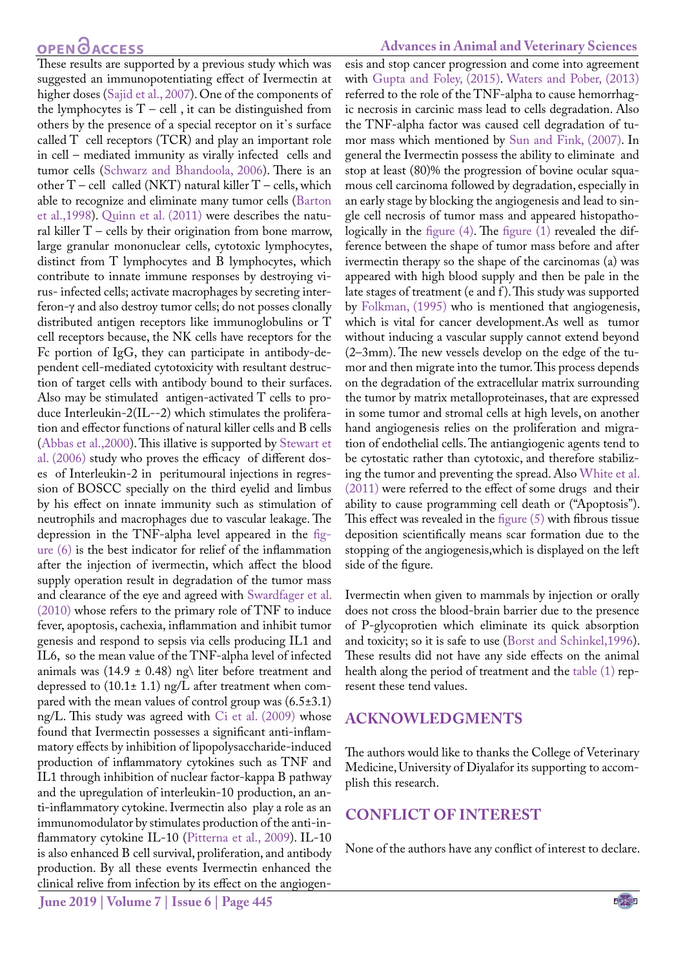## **OPEN**OACCESS

These results are supported by a previous study which was suggested an immunopotentiating effect of Ivermectin at higher doses [\(Sajid et al., 2007](#page-5-9)). One of the components of the lymphocytes is  $T - cell$ , it can be distinguished from others by the presence of a special receptor on it᾿s surface called T cell receptors (TCR) and play an important role in cell – mediated immunity as virally infected cells and tumor cells [\(Schwarz and Bhandoola, 2006](#page-5-10)). There is an other T – cell called (NKT) natural killer T – cells, which able to recognize and eliminate many tumor cells (Barton et al.,1998). [Quinn et al. \(2011\)](#page-5-11) were describes the natural killer  $T$  – cells by their origination from bone marrow, large granular mononuclear cells, cytotoxic lymphocytes, distinct from T lymphocytes and B lymphocytes, which contribute to innate immune responses by destroying virus- infected cells; activate macrophages by secreting interferon-γ and also destroy tumor cells; do not posses clonally distributed antigen receptors like immunoglobulins or T cell receptors because, the NK cells have receptors for the Fc portion of IgG, they can participate in antibody-dependent cell-mediated cytotoxicity with resultant destruction of target cells with antibody bound to their surfaces. Also may be stimulated antigen-activated T cells to produce Interleukin-2(IL--2) which stimulates the proliferation and effector functions of natural killer cells and B cells [\(Abbas et al.,2000\)](#page-5-12). This illative is supported by [Stewart et](#page-5-13) [al. \(2006\)](#page-5-13) study who proves the efficacy of different doses of Interleukin-2 in peritumoural injections in regression of BOSCC specially on the third eyelid and limbus by his effect on innate immunity such as stimulation of neutrophils and macrophages due to vascular leakage. The depression in the TNF-alpha level appeared in the [fig](#page-3-2)[ure \(6\)](#page-3-2) is the best indicator for relief of the inflammation after the injection of ivermectin, which affect the blood supply operation result in degradation of the tumor mass and clearance of the eye and agreed with Swardfager et al. (2010) whose refers to the primary role of TNF to induce fever, apoptosis, cachexia, inflammation and inhibit tumor genesis and respond to sepsis via cells producing IL1 and IL6, so the mean value of the TNF-alpha level of infected animals was (14.9  $\pm$  0.48) ng\ liter before treatment and depressed to (10.1± 1.1) ng/L after treatment when compared with the mean values of control group was  $(6.5\pm3.1)$ ng/L. This study was agreed with [Ci et al. \(2009\)](#page-5-14) whose found that Ivermectin possesses a significant anti-inflammatory effects by inhibition of lipopolysaccharide-induced production of inflammatory cytokines such as TNF and IL1 through inhibition of nuclear factor-kappa B pathway and the upregulation of interleukin-10 production, an anti-inflammatory cytokine. Ivermectin also play a role as an immunomodulator by stimulates production of the anti-inflammatory cytokine IL-10 (Pitterna et al., 2009). IL-10 is also enhanced B cell survival, proliferation, and antibody production. By all these events Ivermectin enhanced the clinical relive from infection by its effect on the angiogen-

#### **Advances in Animal and Veterinary Sciences**

esis and stop cancer progression and come into agreement wit[h Gupta and Foley, \(2015\).](#page-5-15) Waters and Pober, (2013) referred to the role of the TNF-alpha to cause hemorrhagic necrosis in carcinic mass lead to cells degradation. Also the TNF-alpha factor was caused cell degradation of tumor mass which mentioned by [Sun and Fink, \(2007\)](#page-5-6). In general the Ivermectin possess the ability to eliminate and stop at least (80)% the progression of bovine ocular squamous cell carcinoma followed by degradation, especially in an early stage by blocking the angiogenesis and lead to single cell necrosis of tumor mass and appeared histopathologically in the [figure \(4\).](#page-2-3) The [figure \(1\)](#page-2-0) revealed the difference between the shape of tumor mass before and after ivermectin therapy so the shape of the carcinomas (a) was appeared with high blood supply and then be pale in the late stages of treatment (e and f). This study was supported by [Folkman, \(1995\)](#page-5-16) who is mentioned that angiogenesis, which is vital for cancer development.As well as tumor without inducing a vascular supply cannot extend beyond (2–3mm). The new vessels develop on the edge of the tumor and then migrate into the tumor. This process depends on the degradation of the extracellular matrix surrounding the tumor by matrix metalloproteinases, that are expressed in some tumor and stromal cells at high levels, on another hand angiogenesis relies on the proliferation and migration of endothelial cells. The antiangiogenic agents tend to be cytostatic rather than cytotoxic, and therefore stabilizing the tumor and preventing the spread. Also [White et al.](#page-5-17)  [\(2011\)](#page-5-17) were referred to the effect of some drugs and their ability to cause programming cell death or ("Apoptosis"). This effect was revealed in the [figure \(5\)](#page-3-3) with fibrous tissue deposition scientifically means scar formation due to the stopping of the angiogenesis,which is displayed on the left side of the figure.

Ivermectin when given to mammals by injection or orally does not cross the blood-brain barrier due to the presence of P-glycoprotien which eliminate its quick absorption and toxicity; so it is safe to use ([Borst and Schinkel,1996](#page-5-18)). These results did not have any side effects on the animal health along the period of treatment and th[e table \(1\)](#page-3-0) represent these tend values.

### **ACKNOWLEDGMENTS**

The authors would like to thanks the College of Veterinary Medicine, University of Diyalafor its supporting to accomplish this research.

## **CONFLICT OF INTEREST**

None of the authors have any conflict of interest to declare.